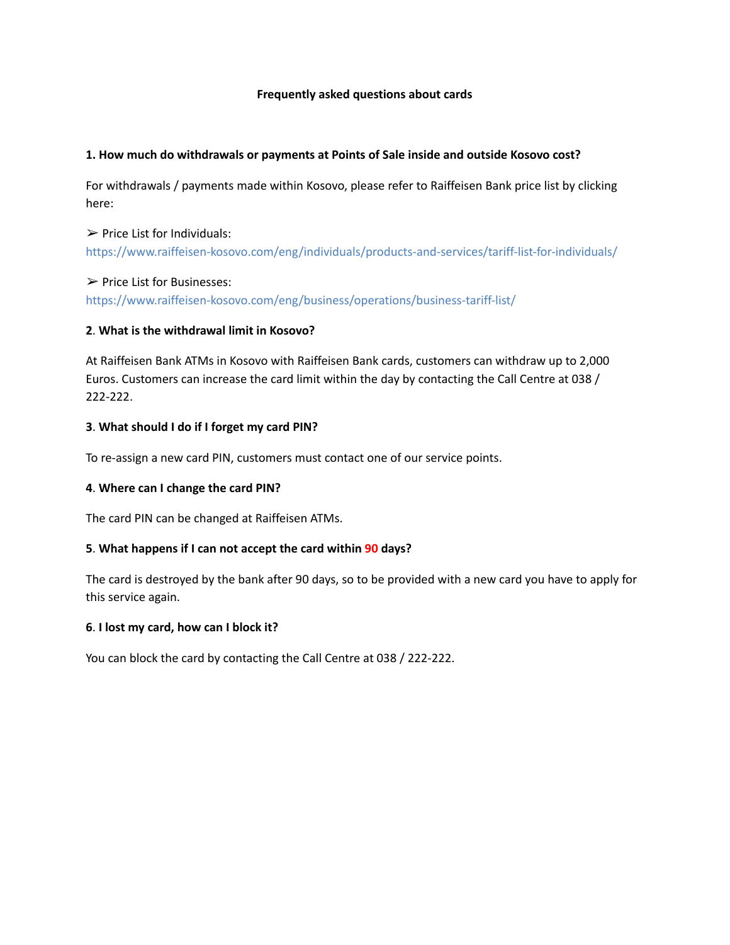### **Frequently asked questions about cards**

### **1. How much do withdrawals or payments at Points of Sale inside and outside Kosovo cost?**

For withdrawals / payments made within Kosovo, please refer to Raiffeisen Bank price list by clicking here:

# $\triangleright$  Price List for Individuals: https://www.raiffeisen-kosovo.com/eng/individuals/products-and-services/tariff-list-for-individuals/

### ➢ Price List for Businesses:

https://www.raiffeisen-kosovo.com/eng/business/operations/business-tariff-list/

## **2**. **What is the withdrawal limit in Kosovo?**

At Raiffeisen Bank ATMs in Kosovo with Raiffeisen Bank cards, customers can withdraw up to 2,000 Euros. Customers can increase the card limit within the day by contacting the Call Centre at 038 / 222-222.

## **3**. **What should I do if I forget my card PIN?**

To re-assign a new card PIN, customers must contact one of our service points.

## **4**. **Where can I change the card PIN?**

The card PIN can be changed at Raiffeisen ATMs.

## **5**. **What happens if I can not accept the card within 90 days?**

The card is destroyed by the bank after 90 days, so to be provided with a new card you have to apply for this service again.

#### **6**. **I lost my card, how can I block it?**

You can block the card by contacting the Call Centre at 038 / 222-222.